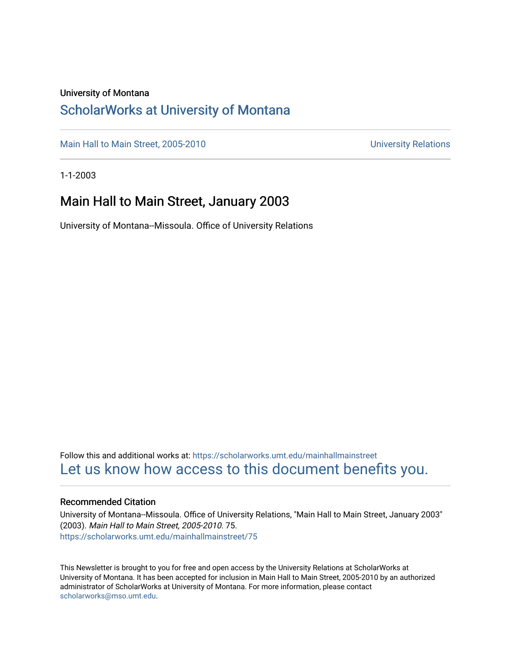#### University of Montana

#### [ScholarWorks at University of Montana](https://scholarworks.umt.edu/)

[Main Hall to Main Street, 2005-2010](https://scholarworks.umt.edu/mainhallmainstreet) Main Hall to Main Street, 2005-2010

1-1-2003

#### Main Hall to Main Street, January 2003

University of Montana--Missoula. Office of University Relations

Follow this and additional works at: [https://scholarworks.umt.edu/mainhallmainstreet](https://scholarworks.umt.edu/mainhallmainstreet?utm_source=scholarworks.umt.edu%2Fmainhallmainstreet%2F75&utm_medium=PDF&utm_campaign=PDFCoverPages) [Let us know how access to this document benefits you.](https://goo.gl/forms/s2rGfXOLzz71qgsB2) 

#### Recommended Citation

University of Montana--Missoula. Office of University Relations, "Main Hall to Main Street, January 2003" (2003). Main Hall to Main Street, 2005-2010. 75. [https://scholarworks.umt.edu/mainhallmainstreet/75](https://scholarworks.umt.edu/mainhallmainstreet/75?utm_source=scholarworks.umt.edu%2Fmainhallmainstreet%2F75&utm_medium=PDF&utm_campaign=PDFCoverPages) 

This Newsletter is brought to you for free and open access by the University Relations at ScholarWorks at University of Montana. It has been accepted for inclusion in Main Hall to Main Street, 2005-2010 by an authorized administrator of ScholarWorks at University of Montana. For more information, please contact [scholarworks@mso.umt.edu.](mailto:scholarworks@mso.umt.edu)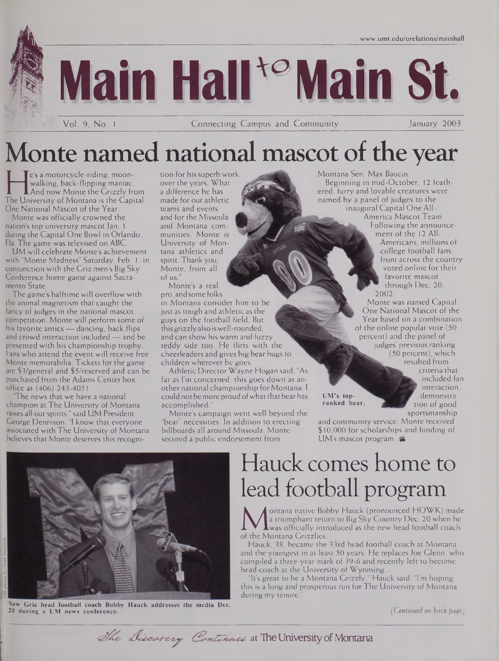

Vol. 9, No. <sup>1</sup> Connecting Campus and Community January 2003

# Monte named national mascot of the year

walking, back-flipping maniac. ov<br>And now Monte the Grizzly from a c<br>The University of Montana is the Capital man<br>One National Mascot of the Year e's a motorcycle-riding, moonwalking, back-flipping maniac. And now Monte the Grizzly from One National Mascot of the Year.

Monte was officially crowned the nation's top university mascot Jan. 1 during the Capital One Bowl in Orlando, Fla. The game was televised on ABC.

UM will celebrate Monte's achievement with "Monte Madness" Saturday, Feb. 1, in conjunction with the Griz men's Big Sky Conference home game against Sacramento State.

The game's halftime will overflow with the animal magnetism that caught the fancy of judges in the national mascot competition. Monte will perform some of his favorite antics — dancing, back flips and crowd interaction included — and be presented with his championship trophy. Fans who attend the event will receive free Monte memorabilia. Tickets for the game are \$3/general and \$5/reserved and can be purchased from the Adams Center box office at (406) 243-4051.

The news that we have a national champion at The University of Montana raises all our spirits," said UM President George Dennison. "I know that everyone associated with The University of Montana believes that Monte deserves this recognition for his superb work over the years. What a difference he has made for our athletic teams and events and for the Missoula and Montana communities. Monte is University of Montana athletics and spirit. Thankyou, Monte, from all of us."

Monte's a real pro, and some folks in Montana consider him to be just as tough and athletic as the guys on the football field. But this grizzlyalso iswell-rounded, and can show his warm and fuzzy teddy side too. He flirts with the cheerleaders and gives big bear hugs to children wherever he goes.

Athletic Director Wayne Hogan said, "As far as I'm concerned, this goes down as another national championship for Montana. I could not be more proud ofwhat thatbearhas accomplished.

Monte's campaign went well beyond the "bear" necessities. In addition to erecting billboards all around Missoula, Monte secured a public endorsement from

Montana Sen. Max Baucus. Beginning in mid-October, 12 feathered, furry and lovable creatures were named by a panel of judges to the inaugural Capital One All-America Mascot Team.

Following the announcement of the 12 All-

Americans, millions of college football fans from across the country voted online for their favorite mascot through Dec. 20, 2002.

Monte was named Capital One National Mascot of the Year based on a combination of the online popular vote (50 percent) and the panel of judges' previous ranking (50 percent), which resulted from

criteria that included fan interaction, demonstration of good sportsmanship

**UM's topranked bear.**

and community service. Monte received \$10,000 for scholarships and funding of UM's mascot program. &



**New Griz head football coach Bobby Hauck addresses the media Dec. 20 during a UM news conference.**

# Hauck comes home to lead football program

**Ma** triumphant return to Big<br>of the Montana Grizzlies.<br>Hauck 38 became the 33rd be ontana native Bobby Hauck (pronounced HOWK.) made a triumphant return to Big Sky Country Dec. 20 when he  $\mathbf 1$  was officially introduced as the new head football coach

Hauck, 38, became the 33rd head football coach at Montana and the youngest in at least 50 years. He replaces Joe Glenn, who compiled a three-year mark of 39-6 and recently left to become head coach at the University of Wyoming.

It's great to be a Montana Grizzly," Hauck said. "I'm hoping this is a long and prosperous run for The University of Montana during my tenure.

*(Continued on back page)*

The Discavery Continues at The University of Montana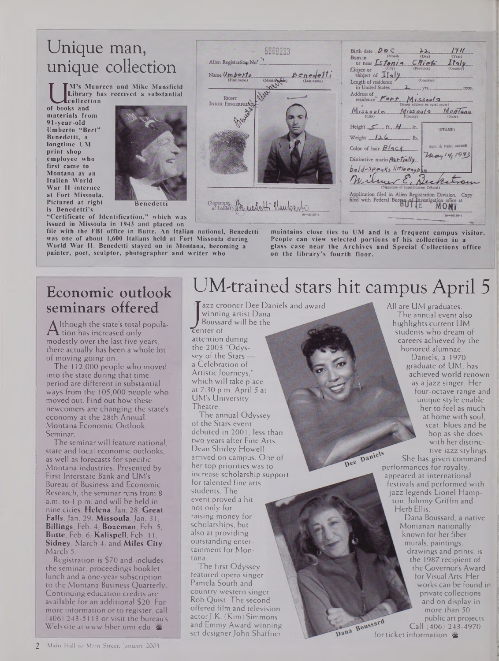### Unique man, unique collection

**received a substantial Library has b books and**<br> **of books and**<br> **materials from M's Maureen and Mike Mansfield collection**

**materials from 91-year-old Umberto "Bert" Benedetti, a longtime UM print shop employee who first came to Montana as an Italian World War II internee at Fort Missoula. Pictured at right is Benedetti's**



**"Certificate of Identification," which was issued in Missoula in 1943 and placed on**

**file with the FBI office in Butte. An Italian national, Benedetti was one of about 1,600 Italians held at Fort Missoula during World War II. Benedetti stayed on in Montana, becoming a painter, poet, sculptor, photographer and writer who**



**maintains close ties to UM and is a frequent campus visitor. People can view selected portions of his collection in a glass case near the Archives and Special Collections office on the library's fourth floor.**

### Economic outlook seminars offered

modestly over the last five years,<br>there actually has been a whole lot lthough the state's total popula-Although the state and political conly modestly over the last five years, of moving going on.

The 112,000 people who moved into the state during that time period are different in substantial ways from the 105,000 people who moved out. Find out how these newcomers are changing the state's economy at the 28th Annual Montana Economic Outlook Seminar.

The seminar will feature national, state and local economic outlooks, as well as forecasts for specific Montana industries. Presented by First Interstate Bank and UM's Bureau of Business and Economic Research, the seminar runs from 8 a.m. to <sup>1</sup> p.m. and will be held in nine cities: **Helena,**Jan. 28,- **Great Falls,** Jan. 29,- **Missoula,**Jan. 31,- **Billings,** Feb. 4,- **Bozeman,** Feb. 5,- **Butte,** Feb. 6; **Kalispell,** Feb. 1<sup>1</sup>; **Sidney,** March 4,- and **Miles City,** March 5.

Registration is \$70 and includes the seminar, proceedings booklet, lunch and a one-year subscription to the Montana Business Quarterly. Continuing education credits are available for an additional \$20. For more information or to register, call (406) 243-5113 or visit the bureau's <Websiteatwww.bber.umt.edu>. &

## UM-trained stars hit campus April 5

winning artist<br>Boussard will<br>center of<br>attention during Tazz crooner Dee Daniels and awardwinning artist Dana Boussard will be the center of the 2003 "Odyssey of the Stars a Celebration of Artistic Journeys which will take place at 7:30 p.m. April 5 at UM's University Theatre.

The annual Odyssey of the Stars event debuted in 2001, less than two years after Fine Arts Dean Shirley Howell arrived on campus. One of her top priorities was to increase scholarship support for talented fine arts students. The event proved a hit not only for raising money for scholarships, but also at providing outstanding entertainment for Montana.

The first Odyssey featured opera singer Pamela South and country western singer Rob Quist. The second offered film and television actorJ.K. (Kim) Simmons and Emmy Award-winning set designer John Shaffner.

The annual event also highlights current UM students who dream of careers achieved by the honored alumnae. Daniels, a 1970 graduate of UM, has achieved world renown as a jazz singer. Her four-octave range and unique style enable her to feel as much at home with soul, scat, blues and bebop as she does with her distinctive jazz stylings.

All are UM graduates.

She has given command performances for royalty<br>performances for royalty appeared at international festivals and performed with jazz legends Lionel Hampton, Johnny Griffin and Herb Ellis.

Dana Boussard, a native Montanan nationally known for her fiber murals, paintings, drawings and prints, is the 1987 recipient of the Governor's Award for Visual Arts. Her works can be found in private collections and on display in more than 50 public art projects. Call (406) 243-4970 public art<br>Forticket information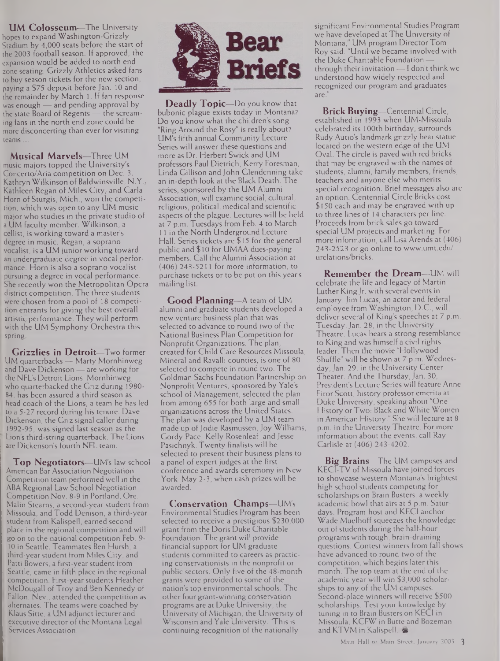**UM Colosseum—**The University hopes to expand Washington-Grizzly Stadium by 4,000 seats before the start of the 2003 football season. If approved, the expansion would be added to north end zone seating. Grizzly Athletics asked fans to buy season tickets for the new section, paying a \$75 deposit before Jan. 10 and the remainder by March 1. If fan response was enough — and pending approval by the state Board of Regents — the screaming fans in the north end zone could be more disconcerting than ever for visiting teams...

**Musical Marvels—**Three UM music majors topped the University's Concerto/Aria competition on Dec. 3. Kathryn Wilkinson of Baldwinsville, N.Y., Kathleen Regan of Miles City; and Carla Horn of Sturgis, Mich., won the competition, which was open to any UM music major who studies in the private studio of a UM faculty member. Wilkinson, a cellist, is working toward a master's degree in music. Regan, a soprano vocalist, is a UM junior working toward an undergraduate degree in vocal performance. Horn is also a soprano vocalist pursuing a degree in vocal performance. She recently won the Metropolitan Opera district competition. The three students were chosen from a pool of 18 competition entrants for giving the best overall artistic performance. They will perform with the UM Symphony Orchestra this spring.

**Grizzlies in Detroit—**Two former UM quarterbacks — Marty Mornhinweg and Dave Dickenson — are working for the NFL's Detroit Lions. Mornhinweg, who quarterbacked the Griz during 1980- 84, has been assured a third season as head coach of the Lions, a team he has led to a 5-27 record during his tenure. Dave Dickenson, the Griz signal caller during 1992-95, was signed last season as the Lion's third-string quarterback. The Lions are Dickenson's fourth NFL team.

**Top Negotiators—**UM's law school American Bar Association Negotiation Competition team performed well in the ABA Regional Law School Negotiation Competition Nov. 8-9 in Portland, Ore. Malin Stearns, a second-year student from Missoula, and Todd Denison, a third-year student from Kalispell, earned second place in the regional competition and will go on to the national competition Feb. 9- 10 in Seattle. Teammates Ben Hursh, a third-yearstudent from Miles City, and Patti Bowers, a first-year student from Seattle, came in fifth place in the regional competition. First-year students Heather , McDougall of Troy and Ben Kennedy of Fallon, Nev., attended the competition as alternates. The teams were coached by Klaus Sitte, a UM adjunct lecturer and executive director of the Montana Legal Services Association.



**Deadly Topic—**Do you know that bubonic plague exists today in Montana? Do you know what the children's song "Ring Around the Rosy" is really about? UM's fifth annual Community Lecture Series will answer these questions and more as Dr. Herbert Swick and UM professors Paul Dietrich, Kerry Foresman, Linda Gillison and John Glendenning take an in-depth look at the Black Death. The series, sponsored by the UM Alumni Association, will examine social, cultural, religious, political, medical and scientific aspects of the plague. Lectures will be held at 7 p.m. Tuesdays from Feb. 4 to March 11 in the North Underground Lecture Hall. Series tickets are \$15 for the general public and \$10 for UMAA dues-paying members. Call the Alumni Association at (406) 243-5211 for more information, to purchase tickets or to be put on this year's mailing list.

**Good Planning—**A team of UM alumni and graduate students developed a new venture business plan that was selected to advance to round two of the National Business Plan Competition for Nonprofit Organizations. The plan, created for Child Care Resources Missoula, Mineral and Ravalli counties, is one of 80 selected to compete in round two. The Goldman Sachs Foundation Partnership on Nonprofit Ventures, sponsored by Yale's school of Management, selected the plan from among 655 for both large and small organizations across the United States. The plan was developed by a UM team made up of Jodie Rasmussen, Joy Williams, Gordy Pace, Kelly Rosenleaf and Jesse Pasichnyk. Twenty finalists will be selected to present their business plans to a panel of expert judges at the first conference and awards ceremony in New York May 2-3, when cash prizes will be awarded.

**Conservation Champs—**UM's Environmental Studies Program has been selected to receive a prestigious \$230,000 grant from the Doris Duke Charitable Foundation. The grant will provide financial support for UM graduate students committed to careers as practicing conservationists in the nonprofit or public sectors. Only five of the 48-month grants were provided to some of the nation's top environmental schools. The other four grant-winning conservation programs are at Duke University, the University of Michigan, the University of Wisconsin and Yale University. 'This is continuing recognition of the nationally

significant Environmental Studies Program we have developed at The University of Montana," UM program Director Tom Roy said. "Until we became involved with the Duke Charitable Foundation through their invitation — <sup>I</sup> don't think we understood how widely respected and recognized our program and graduates are

**Brick Buying—**Centennial Circle, established in 1993 when UM-Missoula celebrated its 100th birthday, surrounds Rudy Autio's landmark grizzly bear statue located on the western edge of the UM Oval. The circle is paved with red bricks that may be engraved with the names of students, alumni, family members, friends, teachers and anyone else who merits special recognition. Brief messages also are an option. Centennial Circle Bricks cost \$150 each and may be engraved with up to three lines of 14 characters per line. Proceeds from brick sales go toward special UM projects and marketing. For more information, call Lisa Arends at (406) 243-2523 or go online to [www.umt.edu/](http://www.umt.edu/) urelations/bricks.

**Remember the Dream—**UM will celebrate the life and legacy of Martin Luther King Jr. with several events in January. Jim Lucas, an actor and federal employee from Washington, D.C., will deliver several of King's speeches at 7 p.m. Tuesday,Jan. 28, in the University Theatre. Lucas bears a strong resemblance to King and was himself a civil rights leader. Then the movie "Hollywood Shuffle" will be shown at 7 p.m. Wednesday, Jan. 29, in the University Center Theater. And the Thursday,Jan. 30, President's Lecture Series will feature Anne Firor Scott, history professor emerita at Duke University, speaking about "One History or Two: Black and White Women in American History." She will lecture at 8 p.m. in the University Theatre. For more information about the events, call Ray Carlisle at (406) 243-4202.

**Big Brains—**The UM campuses and KECI-TV of Missoula have joined forces to showcase western Montana's brightest high school students competing for scholarships on Brain Busters, a weekly academic bowl that airs at 5 p.m. Saturdays. Program host and KECI anchor Wade Muelhoff squeezes the knowledge out of students during the half-hour programs with tough, brain-draining questions. Contest winners from fall shows have advanced to round two of the competition, which begins later this month. The top team at the end of the academic year will win \$3,000 scholarships to any of the UM campuses. Second-place winners will receive \$500 scholarships. Test your knowledge by tuning in to Brain Busters on KECI in Missoula, KCFW in Butte and Bozeman and KTVM in Kalispell.  $\blacktriangleright$